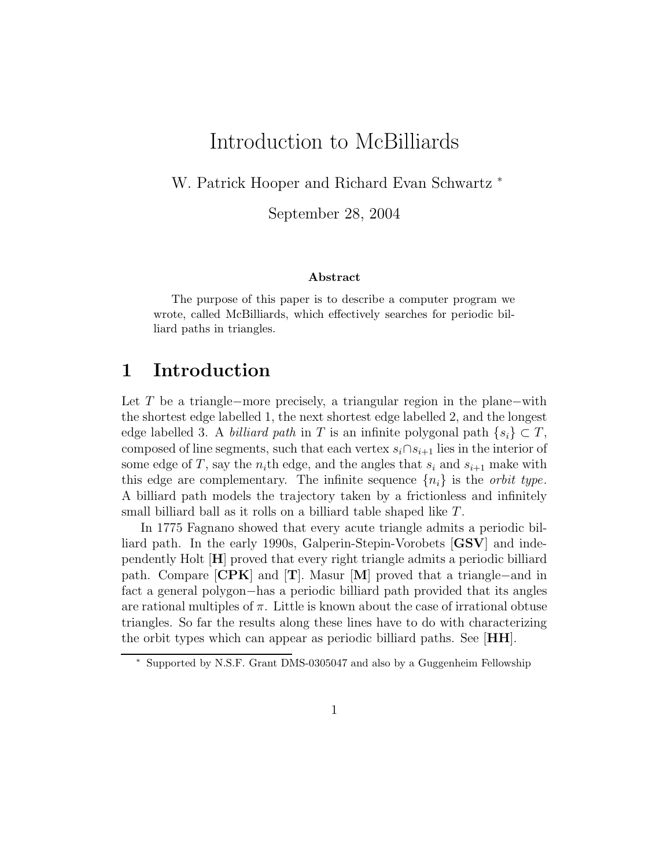# Introduction to McBilliards

W. Patrick Hooper and Richard Evan Schwartz <sup>∗</sup>

September 28, 2004

#### Abstract

The purpose of this paper is to describe a computer program we wrote, called McBilliards, which effectively searches for periodic billiard paths in triangles.

## 1 Introduction

Let T be a triangle−more precisely, a triangular region in the plane−with the shortest edge labelled 1, the next shortest edge labelled 2, and the longest edge labelled 3. A *billiard path* in T is an infinite polygonal path  $\{s_i\} \subset T$ , composed of line segments, such that each vertex  $s_i \cap s_{i+1}$  lies in the interior of some edge of T, say the  $n_i$ <sup>th</sup> edge, and the angles that  $s_i$  and  $s_{i+1}$  make with this edge are complementary. The infinite sequence  $\{n_i\}$  is the *orbit type*. A billiard path models the trajectory taken by a frictionless and infinitely small billiard ball as it rolls on a billiard table shaped like T.

In 1775 Fagnano showed that every acute triangle admits a periodic billiard path. In the early 1990s, Galperin-Stepin-Vorobets [GSV] and independently Holt [H] proved that every right triangle admits a periodic billiard path. Compare  $\mathbf{CPK}$  and  $\mathbf{T}$ . Masur  $\mathbf{M}$  proved that a triangle–and in fact a general polygon−has a periodic billiard path provided that its angles are rational multiples of  $\pi$ . Little is known about the case of irrational obtuse triangles. So far the results along these lines have to do with characterizing the orbit types which can appear as periodic billiard paths. See [HH].

<sup>∗</sup> Supported by N.S.F. Grant DMS-0305047 and also by a Guggenheim Fellowship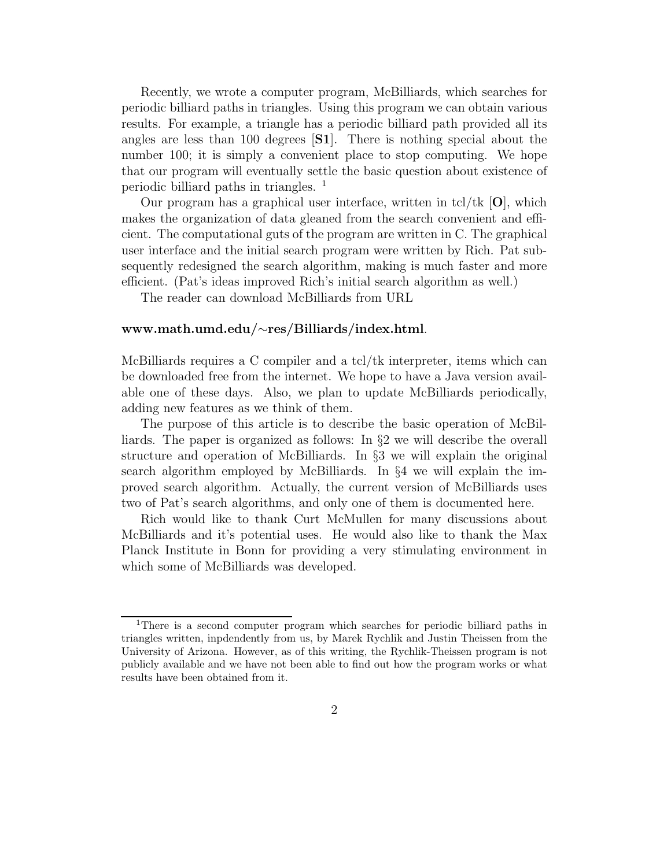Recently, we wrote a computer program, McBilliards, which searches for periodic billiard paths in triangles. Using this program we can obtain various results. For example, a triangle has a periodic billiard path provided all its angles are less than 100 degrees [S1]. There is nothing special about the number 100; it is simply a convenient place to stop computing. We hope that our program will eventually settle the basic question about existence of periodic billiard paths in triangles. <sup>1</sup>

Our program has a graphical user interface, written in tcl/tk  $[O]$ , which makes the organization of data gleaned from the search convenient and efficient. The computational guts of the program are written in C. The graphical user interface and the initial search program were written by Rich. Pat subsequently redesigned the search algorithm, making is much faster and more efficient. (Pat's ideas improved Rich's initial search algorithm as well.)

The reader can download McBilliards from URL

#### www.math.umd.edu/∼res/Billiards/index.html.

McBilliards requires a C compiler and a  $\text{tcl}/\text{tk}$  interpreter, items which can be downloaded free from the internet. We hope to have a Java version available one of these days. Also, we plan to update McBilliards periodically, adding new features as we think of them.

The purpose of this article is to describe the basic operation of McBilliards. The paper is organized as follows: In §2 we will describe the overall structure and operation of McBilliards. In §3 we will explain the original search algorithm employed by McBilliards. In §4 we will explain the improved search algorithm. Actually, the current version of McBilliards uses two of Pat's search algorithms, and only one of them is documented here.

Rich would like to thank Curt McMullen for many discussions about McBilliards and it's potential uses. He would also like to thank the Max Planck Institute in Bonn for providing a very stimulating environment in which some of McBilliards was developed.

<sup>&</sup>lt;sup>1</sup>There is a second computer program which searches for periodic billiard paths in triangles written, inpdendently from us, by Marek Rychlik and Justin Theissen from the University of Arizona. However, as of this writing, the Rychlik-Theissen program is not publicly available and we have not been able to find out how the program works or what results have been obtained from it.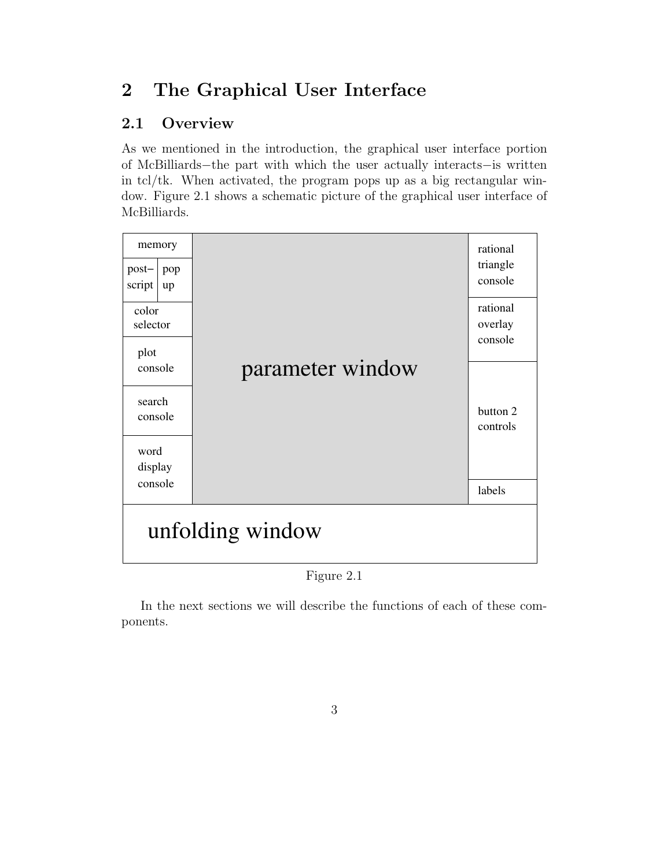# 2 The Graphical User Interface

## 2.1 Overview

As we mentioned in the introduction, the graphical user interface portion of McBilliards−the part with which the user actually interacts−is written in tcl/tk. When activated, the program pops up as a big rectangular window. Figure 2.1 shows a schematic picture of the graphical user interface of McBilliards.



Figure 2.1

In the next sections we will describe the functions of each of these components.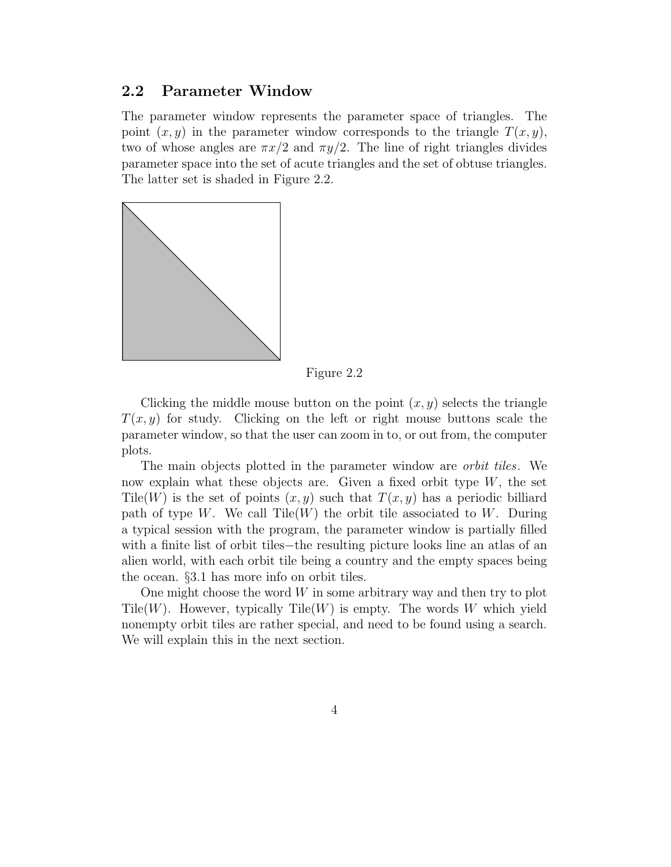#### 2.2 Parameter Window

The parameter window represents the parameter space of triangles. The point  $(x, y)$  in the parameter window corresponds to the triangle  $T(x, y)$ , two of whose angles are  $\pi x/2$  and  $\pi y/2$ . The line of right triangles divides parameter space into the set of acute triangles and the set of obtuse triangles. The latter set is shaded in Figure 2.2.



Figure 2.2

Clicking the middle mouse button on the point  $(x, y)$  selects the triangle  $T(x, y)$  for study. Clicking on the left or right mouse buttons scale the parameter window, so that the user can zoom in to, or out from, the computer plots.

The main objects plotted in the parameter window are *orbit tiles*. We now explain what these objects are. Given a fixed orbit type  $W$ , the set Tile(W) is the set of points  $(x, y)$  such that  $T(x, y)$  has a periodic billiard path of type W. We call  $\text{Tile}(W)$  the orbit tile associated to W. During a typical session with the program, the parameter window is partially filled with a finite list of orbit tiles−the resulting picture looks line an atlas of an alien world, with each orbit tile being a country and the empty spaces being the ocean. §3.1 has more info on orbit tiles.

One might choose the word  $W$  in some arbitrary way and then try to plot Tile(W). However, typically Tile(W) is empty. The words W which yield nonempty orbit tiles are rather special, and need to be found using a search. We will explain this in the next section.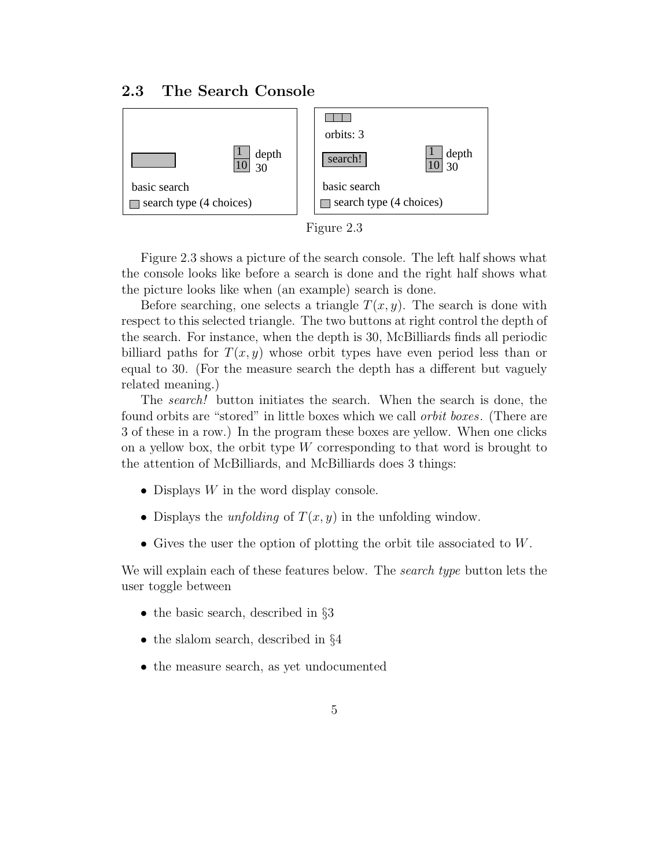### 2.3 The Search Console





Figure 2.3 shows a picture of the search console. The left half shows what the console looks like before a search is done and the right half shows what the picture looks like when (an example) search is done.

Before searching, one selects a triangle  $T(x, y)$ . The search is done with respect to this selected triangle. The two buttons at right control the depth of the search. For instance, when the depth is 30, McBilliards finds all periodic billiard paths for  $T(x, y)$  whose orbit types have even period less than or equal to 30. (For the measure search the depth has a different but vaguely related meaning.)

The *search!* button initiates the search. When the search is done, the found orbits are "stored" in little boxes which we call orbit boxes. (There are 3 of these in a row.) In the program these boxes are yellow. When one clicks on a yellow box, the orbit type  $W$  corresponding to that word is brought to the attention of McBilliards, and McBilliards does 3 things:

- Displays  $W$  in the word display console.
- Displays the *unfolding* of  $T(x, y)$  in the unfolding window.
- Gives the user the option of plotting the orbit tile associated to W.

We will explain each of these features below. The *search type* button lets the user toggle between

- the basic search, described in  $\S 3$
- the slalom search, described in §4
- the measure search, as yet undocumented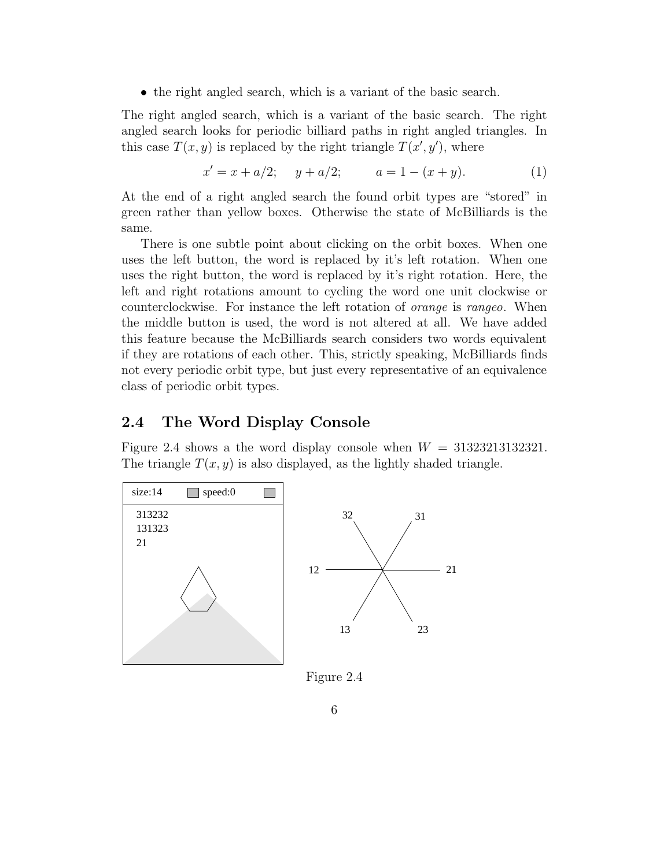• the right angled search, which is a variant of the basic search.

The right angled search, which is a variant of the basic search. The right angled search looks for periodic billiard paths in right angled triangles. In this case  $T(x, y)$  is replaced by the right triangle  $T(x', y')$ , where

$$
x' = x + a/2; \quad y + a/2; \quad a = 1 - (x + y). \tag{1}
$$

At the end of a right angled search the found orbit types are "stored" in green rather than yellow boxes. Otherwise the state of McBilliards is the same.

There is one subtle point about clicking on the orbit boxes. When one uses the left button, the word is replaced by it's left rotation. When one uses the right button, the word is replaced by it's right rotation. Here, the left and right rotations amount to cycling the word one unit clockwise or counterclockwise. For instance the left rotation of orange is rangeo. When the middle button is used, the word is not altered at all. We have added this feature because the McBilliards search considers two words equivalent if they are rotations of each other. This, strictly speaking, McBilliards finds not every periodic orbit type, but just every representative of an equivalence class of periodic orbit types.

### 2.4 The Word Display Console

Figure 2.4 shows a the word display console when  $W = 31323213132321$ . The triangle  $T(x, y)$  is also displayed, as the lightly shaded triangle.



Figure 2.4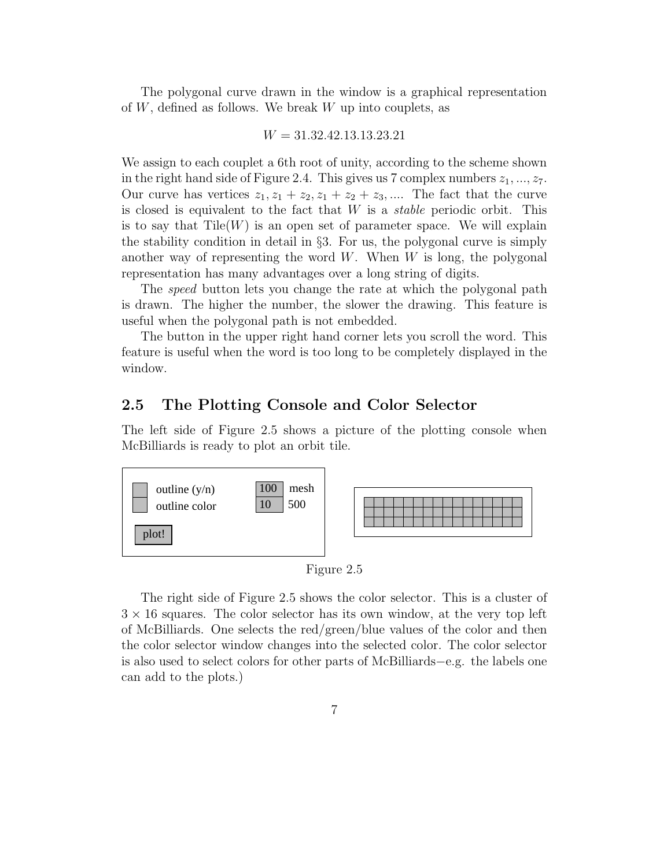The polygonal curve drawn in the window is a graphical representation of  $W$ , defined as follows. We break  $W$  up into couplets, as

 $W = 31.32.42.13.13.23.21$ 

We assign to each couplet a 6th root of unity, according to the scheme shown in the right hand side of Figure 2.4. This gives us 7 complex numbers  $z_1, ..., z_7$ . Our curve has vertices  $z_1, z_1 + z_2, z_1 + z_2 + z_3, \dots$  The fact that the curve is closed is equivalent to the fact that  $W$  is a *stable* periodic orbit. This is to say that  $\text{Tile}(W)$  is an open set of parameter space. We will explain the stability condition in detail in  $\S$ 3. For us, the polygonal curve is simply another way of representing the word  $W$ . When  $W$  is long, the polygonal representation has many advantages over a long string of digits.

The *speed* button lets you change the rate at which the polygonal path is drawn. The higher the number, the slower the drawing. This feature is useful when the polygonal path is not embedded.

The button in the upper right hand corner lets you scroll the word. This feature is useful when the word is too long to be completely displayed in the window.

#### 2.5 The Plotting Console and Color Selector

The left side of Figure 2.5 shows a picture of the plotting console when McBilliards is ready to plot an orbit tile.



Figure 2.5

The right side of Figure 2.5 shows the color selector. This is a cluster of  $3 \times 16$  squares. The color selector has its own window, at the very top left of McBilliards. One selects the red/green/blue values of the color and then the color selector window changes into the selected color. The color selector is also used to select colors for other parts of McBilliards−e.g. the labels one can add to the plots.)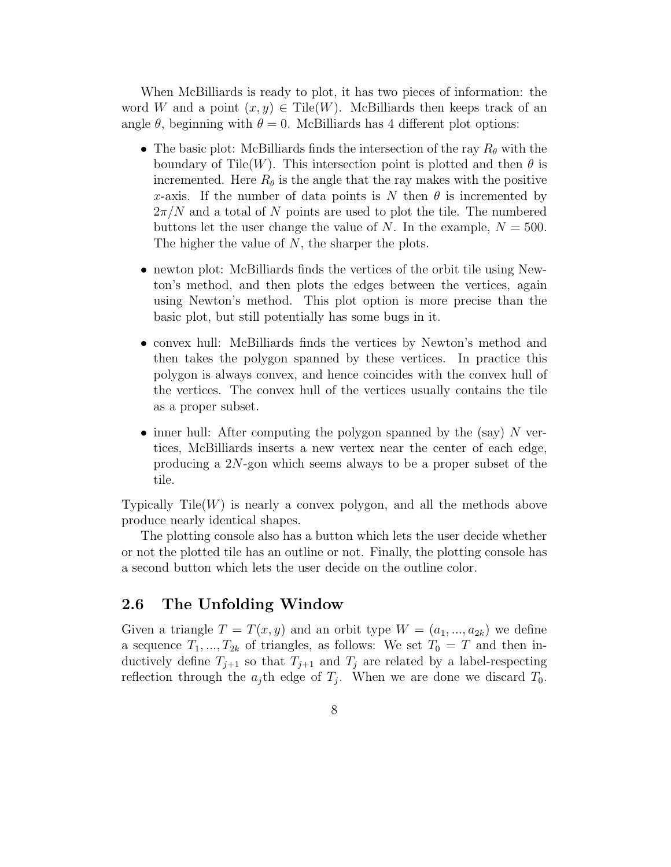When McBilliards is ready to plot, it has two pieces of information: the word W and a point  $(x, y) \in \text{Tile}(W)$ . McBilliards then keeps track of an angle  $\theta$ , beginning with  $\theta = 0$ . McBilliards has 4 different plot options:

- The basic plot: McBilliards finds the intersection of the ray  $R_{\theta}$  with the boundary of Tile(W). This intersection point is plotted and then  $\theta$  is incremented. Here  $R_{\theta}$  is the angle that the ray makes with the positive x-axis. If the number of data points is N then  $\theta$  is incremented by  $2\pi/N$  and a total of N points are used to plot the tile. The numbered buttons let the user change the value of N. In the example,  $N = 500$ . The higher the value of  $N$ , the sharper the plots.
- newton plot: McBilliards finds the vertices of the orbit tile using Newton's method, and then plots the edges between the vertices, again using Newton's method. This plot option is more precise than the basic plot, but still potentially has some bugs in it.
- convex hull: McBilliards finds the vertices by Newton's method and then takes the polygon spanned by these vertices. In practice this polygon is always convex, and hence coincides with the convex hull of the vertices. The convex hull of the vertices usually contains the tile as a proper subset.
- inner hull: After computing the polygon spanned by the (say)  $N$  vertices, McBilliards inserts a new vertex near the center of each edge, producing a 2N-gon which seems always to be a proper subset of the tile.

Typically Tile $(W)$  is nearly a convex polygon, and all the methods above produce nearly identical shapes.

The plotting console also has a button which lets the user decide whether or not the plotted tile has an outline or not. Finally, the plotting console has a second button which lets the user decide on the outline color.

#### 2.6 The Unfolding Window

Given a triangle  $T = T(x, y)$  and an orbit type  $W = (a_1, ..., a_{2k})$  we define a sequence  $T_1, ..., T_{2k}$  of triangles, as follows: We set  $T_0 = T$  and then inductively define  $T_{j+1}$  so that  $T_{j+1}$  and  $T_j$  are related by a label-respecting reflection through the  $a_j$ th edge of  $T_j$ . When we are done we discard  $T_0$ .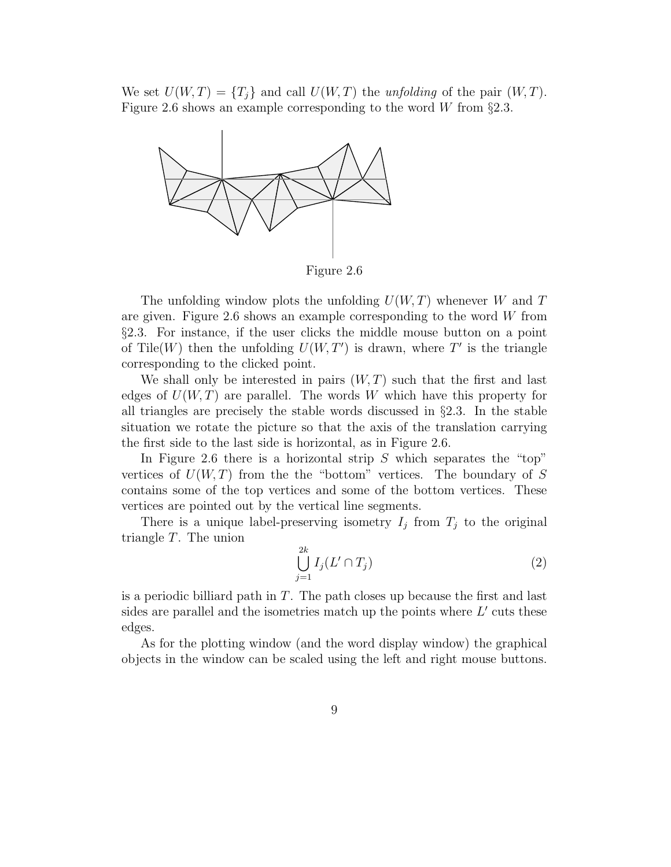We set  $U(W,T) = {T_i}$  and call  $U(W,T)$  the unfolding of the pair  $(W,T)$ . Figure 2.6 shows an example corresponding to the word W from  $\S 2.3$ .



Figure 2.6

The unfolding window plots the unfolding  $U(W, T)$  whenever W and T are given. Figure 2.6 shows an example corresponding to the word  $W$  from §2.3. For instance, if the user clicks the middle mouse button on a point of Tile(W) then the unfolding  $U(W, T')$  is drawn, where T' is the triangle corresponding to the clicked point.

We shall only be interested in pairs  $(W, T)$  such that the first and last edges of  $U(W, T)$  are parallel. The words W which have this property for all triangles are precisely the stable words discussed in §2.3. In the stable situation we rotate the picture so that the axis of the translation carrying the first side to the last side is horizontal, as in Figure 2.6.

In Figure 2.6 there is a horizontal strip  $S$  which separates the "top" vertices of  $U(W, T)$  from the the "bottom" vertices. The boundary of S contains some of the top vertices and some of the bottom vertices. These vertices are pointed out by the vertical line segments.

There is a unique label-preserving isometry  $I_j$  from  $T_j$  to the original triangle T. The union

$$
\bigcup_{j=1}^{2k} I_j(L' \cap T_j) \tag{2}
$$

is a periodic billiard path in  $T$ . The path closes up because the first and last sides are parallel and the isometries match up the points where  $L'$  cuts these edges.

As for the plotting window (and the word display window) the graphical objects in the window can be scaled using the left and right mouse buttons.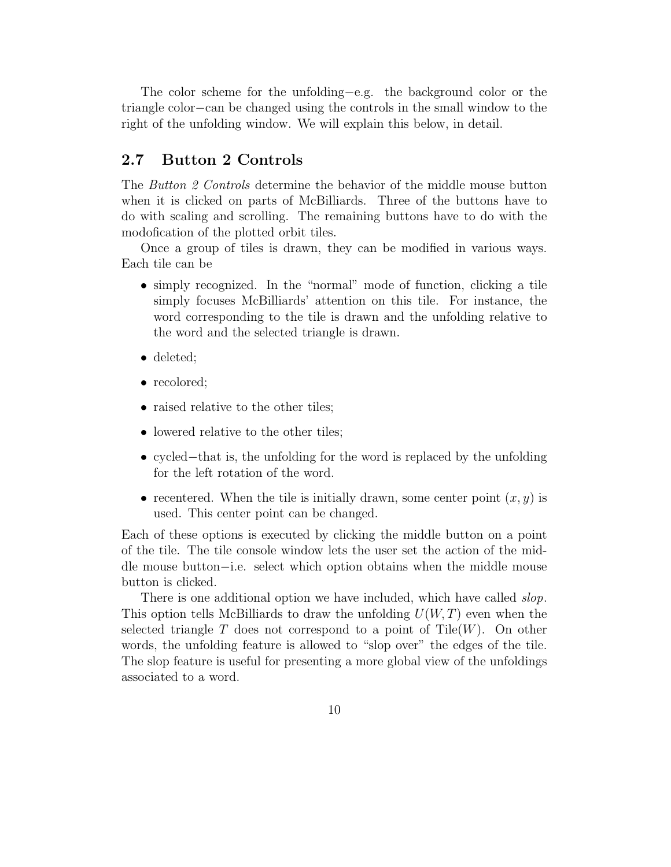The color scheme for the unfolding−e.g. the background color or the triangle color−can be changed using the controls in the small window to the right of the unfolding window. We will explain this below, in detail.

#### 2.7 Button 2 Controls

The *Button 2 Controls* determine the behavior of the middle mouse button when it is clicked on parts of McBilliards. Three of the buttons have to do with scaling and scrolling. The remaining buttons have to do with the modofication of the plotted orbit tiles.

Once a group of tiles is drawn, they can be modified in various ways. Each tile can be

- simply recognized. In the "normal" mode of function, clicking a tile simply focuses McBilliards' attention on this tile. For instance, the word corresponding to the tile is drawn and the unfolding relative to the word and the selected triangle is drawn.
- deleted;
- recolored;
- raised relative to the other tiles;
- lowered relative to the other tiles;
- cycled−that is, the unfolding for the word is replaced by the unfolding for the left rotation of the word.
- recentered. When the tile is initially drawn, some center point  $(x, y)$  is used. This center point can be changed.

Each of these options is executed by clicking the middle button on a point of the tile. The tile console window lets the user set the action of the middle mouse button−i.e. select which option obtains when the middle mouse button is clicked.

There is one additional option we have included, which have called *slop*. This option tells McBilliards to draw the unfolding  $U(W, T)$  even when the selected triangle T does not correspond to a point of Tile $(W)$ . On other words, the unfolding feature is allowed to "slop over" the edges of the tile. The slop feature is useful for presenting a more global view of the unfoldings associated to a word.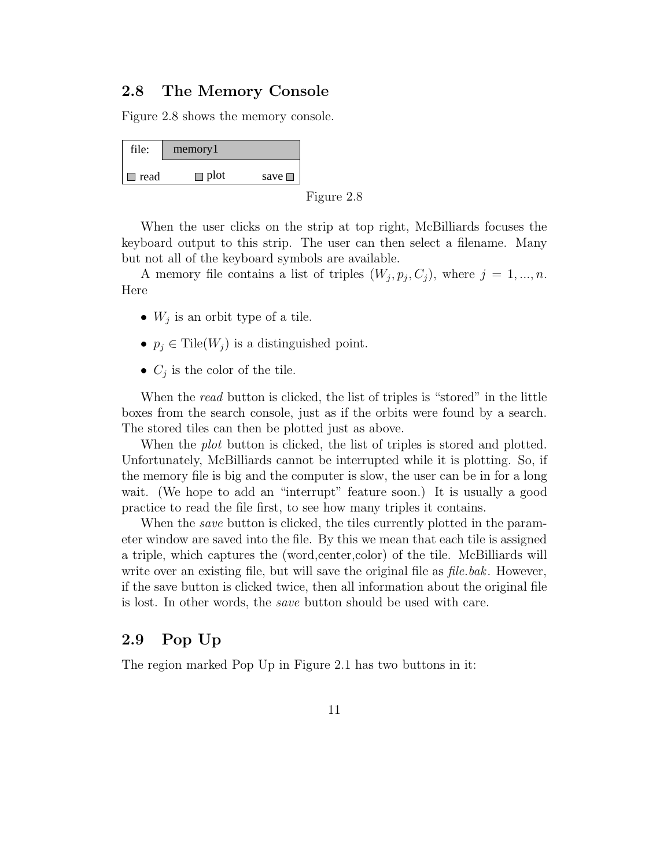#### 2.8 The Memory Console

Figure 2.8 shows the memory console.

| file:  | memory1     |                |
|--------|-------------|----------------|
| □ read | $\Box$ plot | save $\square$ |

Figure 2.8

When the user clicks on the strip at top right, McBilliards focuses the keyboard output to this strip. The user can then select a filename. Many but not all of the keyboard symbols are available.

A memory file contains a list of triples  $(W_j, p_j, C_j)$ , where  $j = 1, ..., n$ . Here

- $W_j$  is an orbit type of a tile.
- $p_j \in \text{Tile}(W_j)$  is a distinguished point.
- $C_j$  is the color of the tile.

When the *read* button is clicked, the list of triples is "stored" in the little boxes from the search console, just as if the orbits were found by a search. The stored tiles can then be plotted just as above.

When the *plot* button is clicked, the list of triples is stored and plotted. Unfortunately, McBilliards cannot be interrupted while it is plotting. So, if the memory file is big and the computer is slow, the user can be in for a long wait. (We hope to add an "interrupt" feature soon.) It is usually a good practice to read the file first, to see how many triples it contains.

When the *save* button is clicked, the tiles currently plotted in the parameter window are saved into the file. By this we mean that each tile is assigned a triple, which captures the (word,center,color) of the tile. McBilliards will write over an existing file, but will save the original file as *file.bak*. However, if the save button is clicked twice, then all information about the original file is lost. In other words, the save button should be used with care.

### 2.9 Pop Up

The region marked Pop Up in Figure 2.1 has two buttons in it: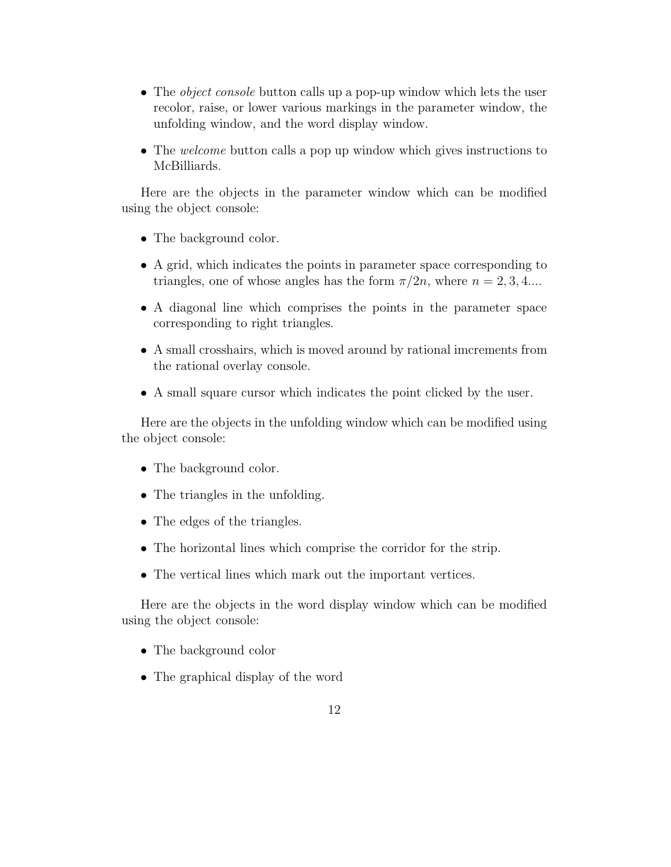- The *object console* button calls up a pop-up window which lets the user recolor, raise, or lower various markings in the parameter window, the unfolding window, and the word display window.
- The welcome button calls a pop up window which gives instructions to McBilliards.

Here are the objects in the parameter window which can be modified using the object console:

- The background color.
- A grid, which indicates the points in parameter space corresponding to triangles, one of whose angles has the form  $\pi/2n$ , where  $n = 2, 3, 4...$
- A diagonal line which comprises the points in the parameter space corresponding to right triangles.
- A small crosshairs, which is moved around by rational imcrements from the rational overlay console.
- A small square cursor which indicates the point clicked by the user.

Here are the objects in the unfolding window which can be modified using the object console:

- The background color.
- The triangles in the unfolding.
- The edges of the triangles.
- The horizontal lines which comprise the corridor for the strip.
- The vertical lines which mark out the important vertices.

Here are the objects in the word display window which can be modified using the object console:

- The background color
- The graphical display of the word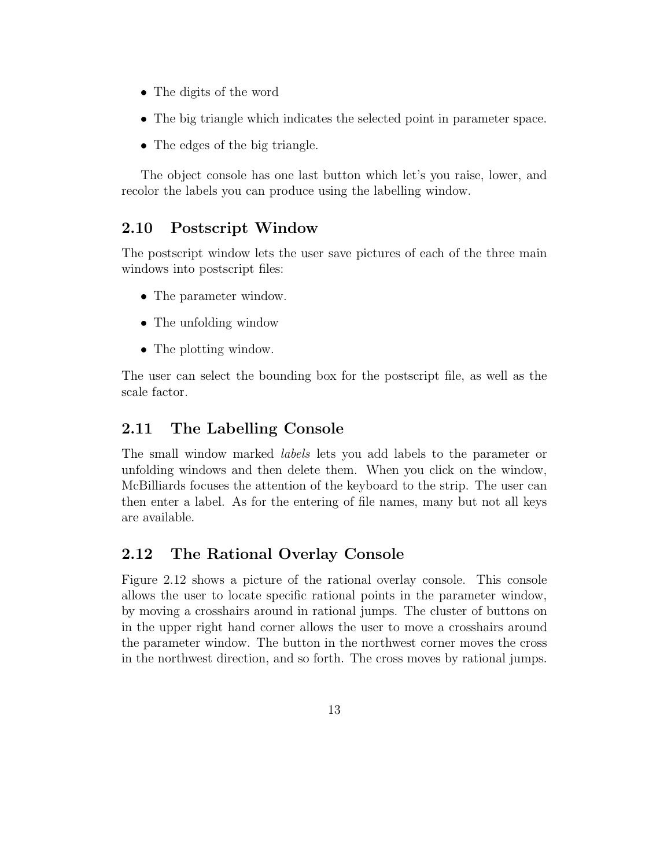- The digits of the word
- The big triangle which indicates the selected point in parameter space.
- The edges of the big triangle.

The object console has one last button which let's you raise, lower, and recolor the labels you can produce using the labelling window.

## 2.10 Postscript Window

The postscript window lets the user save pictures of each of the three main windows into postscript files:

- The parameter window.
- The unfolding window
- The plotting window.

The user can select the bounding box for the postscript file, as well as the scale factor.

## 2.11 The Labelling Console

The small window marked labels lets you add labels to the parameter or unfolding windows and then delete them. When you click on the window, McBilliards focuses the attention of the keyboard to the strip. The user can then enter a label. As for the entering of file names, many but not all keys are available.

## 2.12 The Rational Overlay Console

Figure 2.12 shows a picture of the rational overlay console. This console allows the user to locate specific rational points in the parameter window, by moving a crosshairs around in rational jumps. The cluster of buttons on in the upper right hand corner allows the user to move a crosshairs around the parameter window. The button in the northwest corner moves the cross in the northwest direction, and so forth. The cross moves by rational jumps.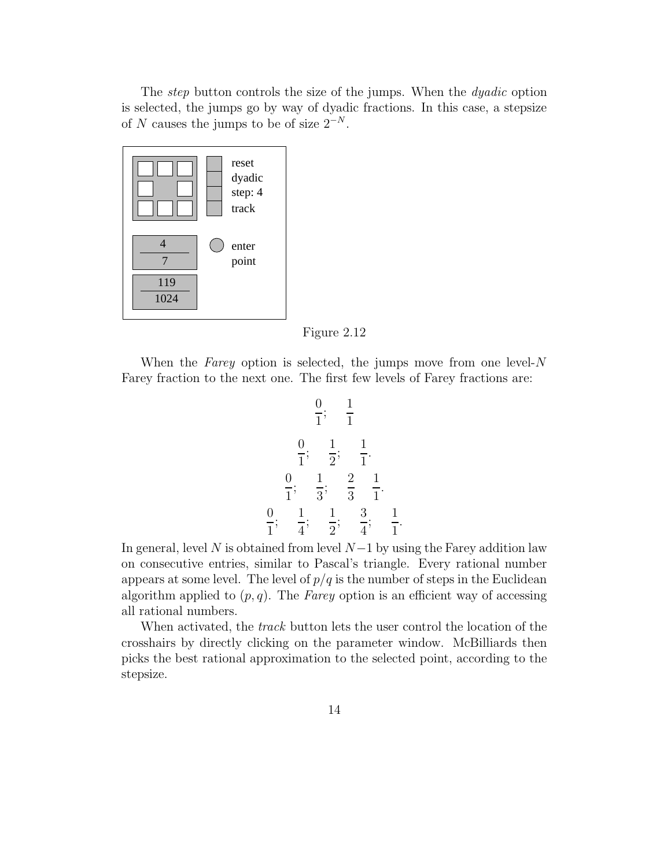The *step* button controls the size of the jumps. When the *dyadic* option is selected, the jumps go by way of dyadic fractions. In this case, a stepsize of N causes the jumps to be of size  $2^{-N}$ .



Figure 2.12

When the Farey option is selected, the jumps move from one level- $N$ Farey fraction to the next one. The first few levels of Farey fractions are:

$$
\frac{0}{1}; \quad \frac{1}{1}
$$
  

$$
\frac{0}{1}; \quad \frac{1}{2}; \quad \frac{1}{1}.
$$
  

$$
\frac{0}{1}; \quad \frac{1}{3}; \quad \frac{2}{3} \quad \frac{1}{1}.
$$
  

$$
\frac{0}{1}; \quad \frac{1}{4}; \quad \frac{1}{2}; \quad \frac{3}{4}; \quad \frac{1}{1}
$$

.

In general, level N is obtained from level  $N-1$  by using the Farey addition law on consecutive entries, similar to Pascal's triangle. Every rational number appears at some level. The level of  $p/q$  is the number of steps in the Euclidean algorithm applied to  $(p, q)$ . The Farey option is an efficient way of accessing all rational numbers.

When activated, the *track* button lets the user control the location of the crosshairs by directly clicking on the parameter window. McBilliards then picks the best rational approximation to the selected point, according to the stepsize.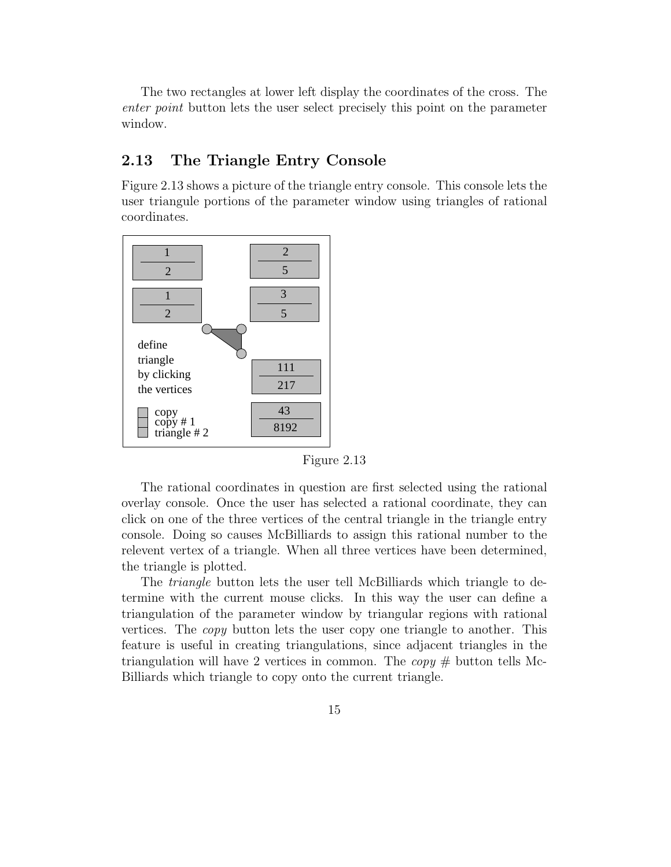The two rectangles at lower left display the coordinates of the cross. The enter point button lets the user select precisely this point on the parameter window.

### 2.13 The Triangle Entry Console

Figure 2.13 shows a picture of the triangle entry console. This console lets the user triangule portions of the parameter window using triangles of rational coordinates.



Figure 2.13

The rational coordinates in question are first selected using the rational overlay console. Once the user has selected a rational coordinate, they can click on one of the three vertices of the central triangle in the triangle entry console. Doing so causes McBilliards to assign this rational number to the relevent vertex of a triangle. When all three vertices have been determined, the triangle is plotted.

The *triangle* button lets the user tell McBilliards which triangle to determine with the current mouse clicks. In this way the user can define a triangulation of the parameter window by triangular regions with rational vertices. The copy button lets the user copy one triangle to another. This feature is useful in creating triangulations, since adjacent triangles in the triangulation will have 2 vertices in common. The  $copy \#$  button tells Mc-Billiards which triangle to copy onto the current triangle.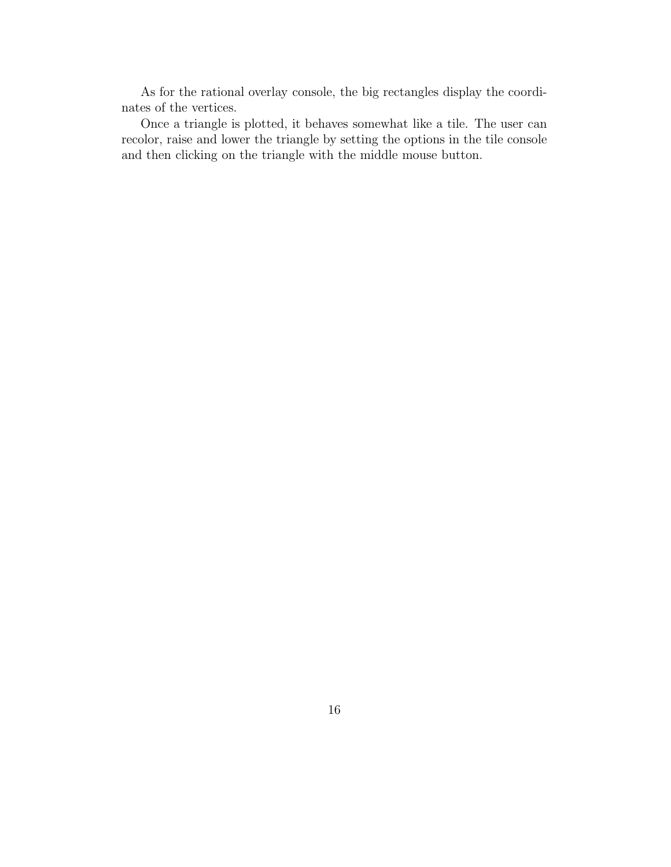As for the rational overlay console, the big rectangles display the coordinates of the vertices.

Once a triangle is plotted, it behaves somewhat like a tile. The user can recolor, raise and lower the triangle by setting the options in the tile console and then clicking on the triangle with the middle mouse button.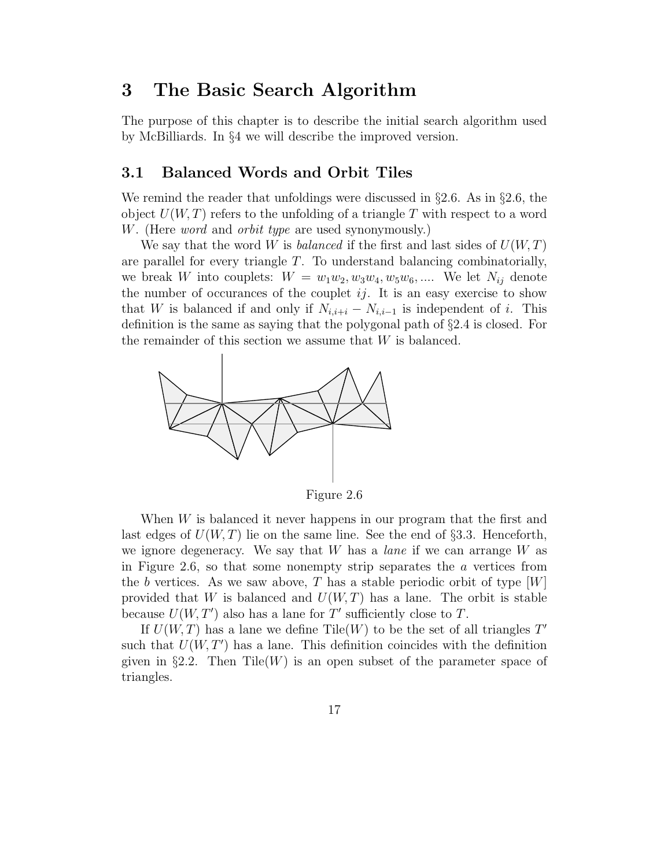## 3 The Basic Search Algorithm

The purpose of this chapter is to describe the initial search algorithm used by McBilliards. In §4 we will describe the improved version.

#### 3.1 Balanced Words and Orbit Tiles

We remind the reader that unfoldings were discussed in  $\S 2.6$ . As in  $\S 2.6$ , the object  $U(W, T)$  refers to the unfolding of a triangle T with respect to a word W. (Here *word* and *orbit type* are used synonymously.)

We say that the word W is *balanced* if the first and last sides of  $U(W, T)$ are parallel for every triangle T. To understand balancing combinatorially, we break W into couplets:  $W = w_1w_2, w_3w_4, w_5w_6, \dots$  We let  $N_{ij}$  denote the number of occurances of the couplet  $ij$ . It is an easy exercise to show that W is balanced if and only if  $N_{i,i+i} - N_{i,i-1}$  is independent of i. This definition is the same as saying that the polygonal path of §2.4 is closed. For the remainder of this section we assume that  $W$  is balanced.



Figure 2.6

When W is balanced it never happens in our program that the first and last edges of  $U(W, T)$  lie on the same line. See the end of §3.3. Henceforth, we ignore degeneracy. We say that  $W$  has a *lane* if we can arrange  $W$  as in Figure 2.6, so that some nonempty strip separates the  $\alpha$  vertices from the b vertices. As we saw above, T has a stable periodic orbit of type  $[W]$ provided that W is balanced and  $U(W,T)$  has a lane. The orbit is stable because  $U(W, T')$  also has a lane for T' sufficiently close to T.

If  $U(W, T)$  has a lane we define Tile(W) to be the set of all triangles T' such that  $U(W, T')$  has a lane. This definition coincides with the definition given in §2.2. Then Tile(W) is an open subset of the parameter space of triangles.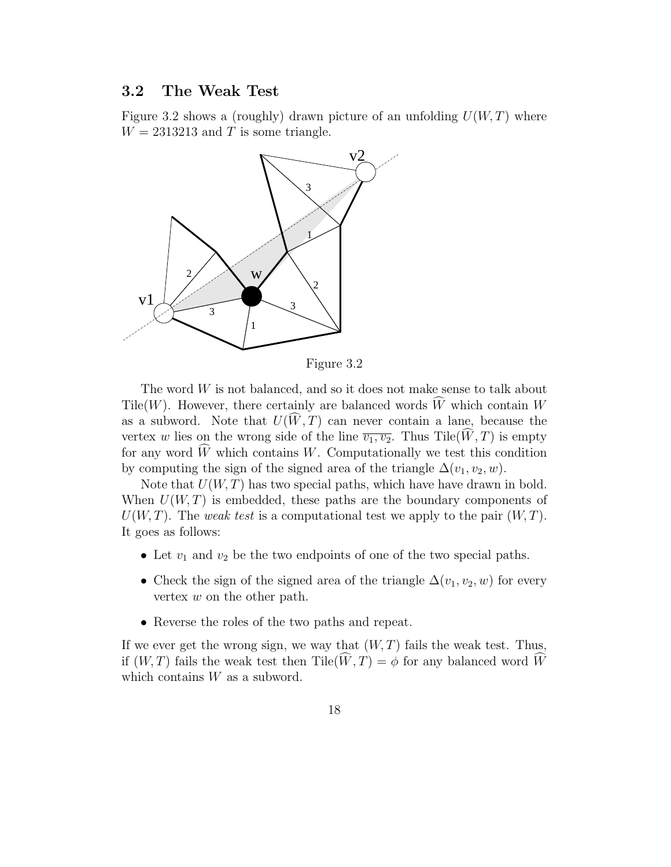#### 3.2 The Weak Test

Figure 3.2 shows a (roughly) drawn picture of an unfolding  $U(W, T)$  where  $W = 2313213$  and T is some triangle.



Figure 3.2

The word  $W$  is not balanced, and so it does not make sense to talk about Tile(W). However, there certainly are balanced words  $\widehat{W}$  which contain W as a subword. Note that  $U(\hat{W},T)$  can never contain a lane, because the vertex w lies on the wrong side of the line  $\overline{v_1, v_2}$ . Thus Tile( $\widehat{W}, T$ ) is empty for any word  $\widehat{W}$  which contains W. Computationally we test this condition by computing the sign of the signed area of the triangle  $\Delta(v_1, v_2, w)$ .

Note that  $U(W, T)$  has two special paths, which have have drawn in bold. When  $U(W, T)$  is embedded, these paths are the boundary components of  $U(W, T)$ . The weak test is a computational test we apply to the pair  $(W, T)$ . It goes as follows:

- Let  $v_1$  and  $v_2$  be the two endpoints of one of the two special paths.
- Check the sign of the signed area of the triangle  $\Delta(v_1, v_2, w)$  for every vertex w on the other path.
- Reverse the roles of the two paths and repeat.

If we ever get the wrong sign, we way that  $(W, T)$  fails the weak test. Thus, if  $(W, T)$  fails the weak test then Tile $(W, T) = \phi$  for any balanced word W which contains  $W$  as a subword.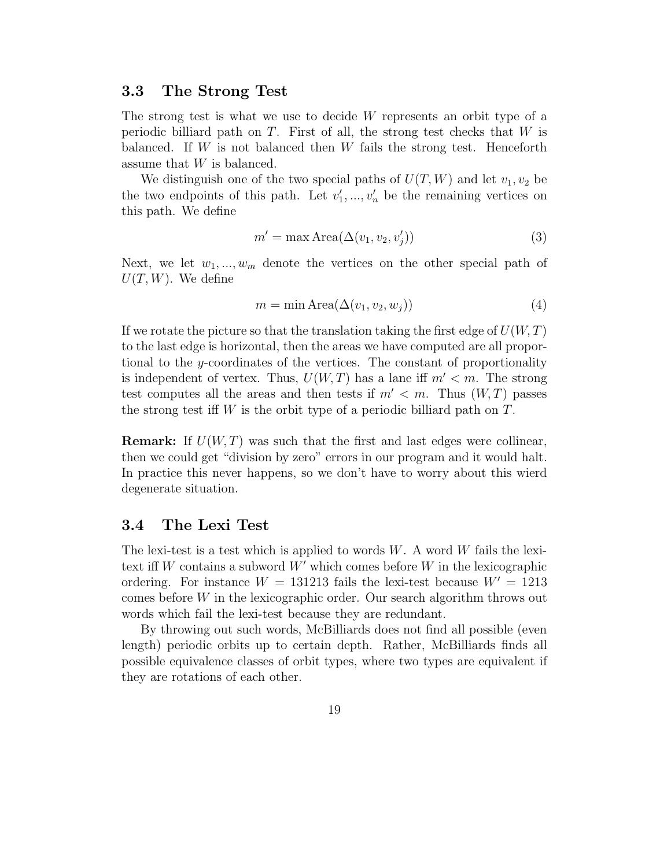#### 3.3 The Strong Test

The strong test is what we use to decide W represents an orbit type of a periodic billiard path on  $T$ . First of all, the strong test checks that  $W$  is balanced. If  $W$  is not balanced then  $W$  fails the strong test. Henceforth assume that W is balanced.

We distinguish one of the two special paths of  $U(T, W)$  and let  $v_1, v_2$  be the two endpoints of this path. Let  $v'_1, \ldots, v'_n$  be the remaining vertices on this path. We define

$$
m' = \max \text{Area}(\Delta(v_1, v_2, v'_j))
$$
\n(3)

Next, we let  $w_1, ..., w_m$  denote the vertices on the other special path of  $U(T, W)$ . We define

$$
m = \min \text{Area}(\Delta(v_1, v_2, w_j)) \tag{4}
$$

If we rotate the picture so that the translation taking the first edge of  $U(W, T)$ to the last edge is horizontal, then the areas we have computed are all proportional to the y-coordinates of the vertices. The constant of proportionality is independent of vertex. Thus,  $U(W, T)$  has a lane iff  $m' < m$ . The strong test computes all the areas and then tests if  $m' < m$ . Thus  $(W, T)$  passes the strong test iff  $W$  is the orbit type of a periodic billiard path on  $T$ .

**Remark:** If  $U(W, T)$  was such that the first and last edges were collinear, then we could get "division by zero" errors in our program and it would halt. In practice this never happens, so we don't have to worry about this wierd degenerate situation.

#### 3.4 The Lexi Test

The lexi-test is a test which is applied to words  $W$ . A word  $W$  fails the lexitext iff W contains a subword  $W'$  which comes before W in the lexicographic ordering. For instance  $W = 131213$  fails the lexi-test because  $W' = 1213$ comes before  $W$  in the lexicographic order. Our search algorithm throws out words which fail the lexi-test because they are redundant.

By throwing out such words, McBilliards does not find all possible (even length) periodic orbits up to certain depth. Rather, McBilliards finds all possible equivalence classes of orbit types, where two types are equivalent if they are rotations of each other.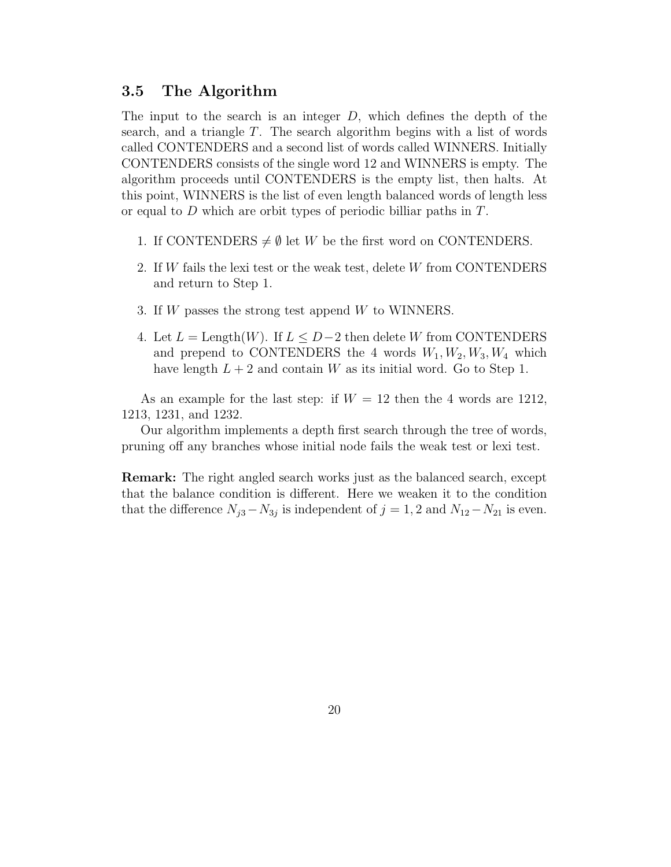#### 3.5 The Algorithm

The input to the search is an integer  $D$ , which defines the depth of the search, and a triangle T. The search algorithm begins with a list of words called CONTENDERS and a second list of words called WINNERS. Initially CONTENDERS consists of the single word 12 and WINNERS is empty. The algorithm proceeds until CONTENDERS is the empty list, then halts. At this point, WINNERS is the list of even length balanced words of length less or equal to D which are orbit types of periodic billiar paths in T.

- 1. If CONTENDERS  $\neq \emptyset$  let W be the first word on CONTENDERS.
- 2. If W fails the lexi test or the weak test, delete W from CONTENDERS and return to Step 1.
- 3. If W passes the strong test append W to WINNERS.
- 4. Let  $L = \text{Length}(W)$ . If  $L \leq D-2$  then delete W from CONTENDERS and prepend to CONTENDERS the 4 words  $W_1, W_2, W_3, W_4$  which have length  $L + 2$  and contain W as its initial word. Go to Step 1.

As an example for the last step: if  $W = 12$  then the 4 words are 1212, 1213, 1231, and 1232.

Our algorithm implements a depth first search through the tree of words, pruning off any branches whose initial node fails the weak test or lexi test.

Remark: The right angled search works just as the balanced search, except that the balance condition is different. Here we weaken it to the condition that the difference  $N_{j3} - N_{3j}$  is independent of  $j = 1, 2$  and  $N_{12} - N_{21}$  is even.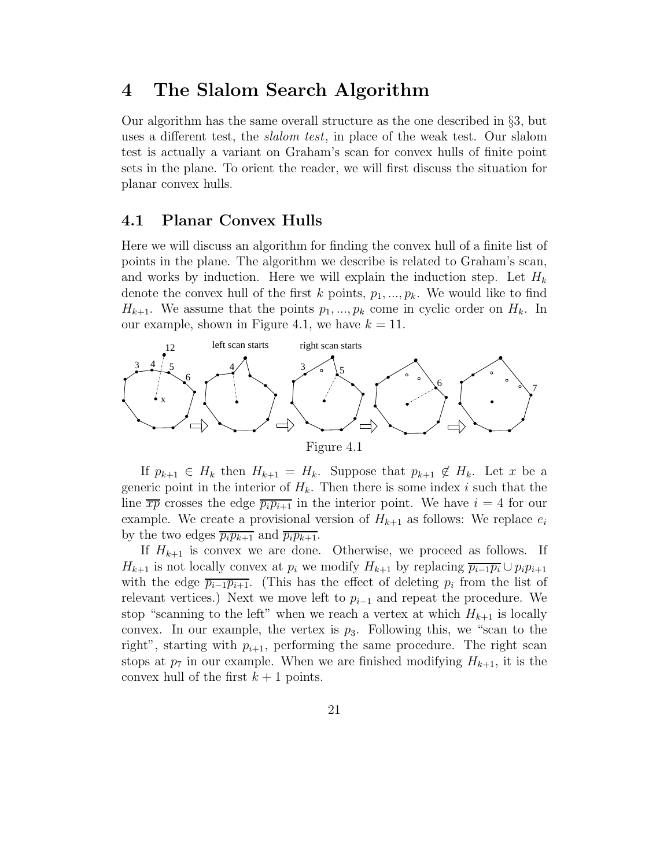## 4 The Slalom Search Algorithm

Our algorithm has the same overall structure as the one described in §3, but uses a different test, the *slalom test*, in place of the weak test. Our slalom test is actually a variant on Graham's scan for convex hulls of finite point sets in the plane. To orient the reader, we will first discuss the situation for planar convex hulls.

#### 4.1 Planar Convex Hulls

Here we will discuss an algorithm for finding the convex hull of a finite list of points in the plane. The algorithm we describe is related to Graham's scan, and works by induction. Here we will explain the induction step. Let  $H_k$ denote the convex hull of the first k points,  $p_1, ..., p_k$ . We would like to find  $H_{k+1}$ . We assume that the points  $p_1, ..., p_k$  come in cyclic order on  $H_k$ . In our example, shown in Figure 4.1, we have  $k = 11$ .



If  $p_{k+1} \in H_k$  then  $H_{k+1} = H_k$ . Suppose that  $p_{k+1} \notin H_k$ . Let x be a generic point in the interior of  $H_k$ . Then there is some index i such that the line  $\overline{xp}$  crosses the edge  $\overline{p_ip_{i+1}}$  in the interior point. We have  $i = 4$  for our example. We create a provisional version of  $H_{k+1}$  as follows: We replace  $e_i$ by the two edges  $\overline{p_i p_{k+1}}$  and  $\overline{p_i p_{k+1}}$ .

If  $H_{k+1}$  is convex we are done. Otherwise, we proceed as follows. If  $H_{k+1}$  is not locally convex at  $p_i$  we modify  $H_{k+1}$  by replacing  $\overline{p_{i-1}p_i} \cup p_i p_{i+1}$ with the edge  $\overline{p_{i-1}p_{i+1}}$ . (This has the effect of deleting  $p_i$  from the list of relevant vertices.) Next we move left to  $p_{i-1}$  and repeat the procedure. We stop "scanning to the left" when we reach a vertex at which  $H_{k+1}$  is locally convex. In our example, the vertex is  $p_3$ . Following this, we "scan to the right", starting with  $p_{i+1}$ , performing the same procedure. The right scan stops at  $p_7$  in our example. When we are finished modifying  $H_{k+1}$ , it is the convex hull of the first  $k+1$  points.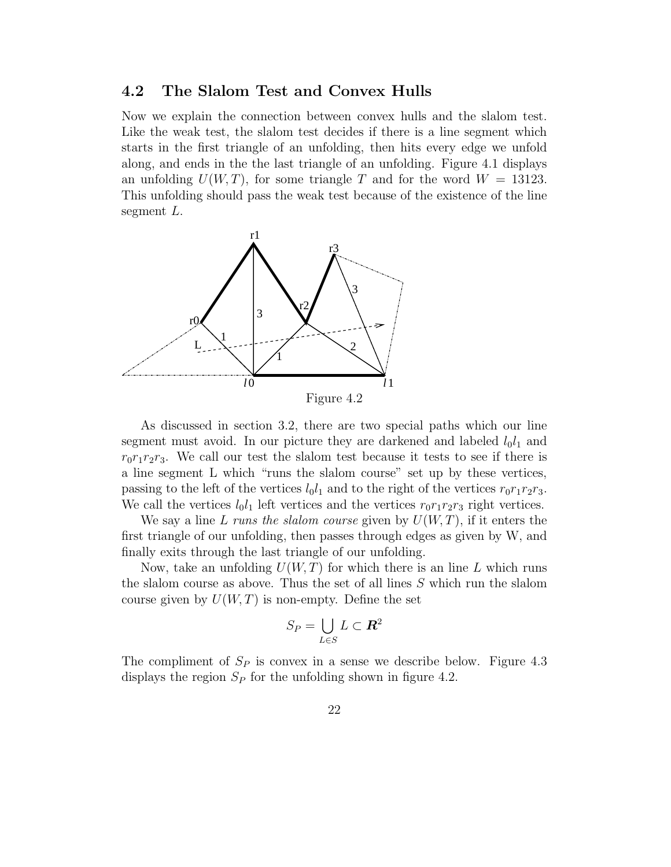#### 4.2 The Slalom Test and Convex Hulls

Now we explain the connection between convex hulls and the slalom test. Like the weak test, the slalom test decides if there is a line segment which starts in the first triangle of an unfolding, then hits every edge we unfold along, and ends in the the last triangle of an unfolding. Figure 4.1 displays an unfolding  $U(W, T)$ , for some triangle T and for the word  $W = 13123$ . This unfolding should pass the weak test because of the existence of the line segment L.



As discussed in section 3.2, there are two special paths which our line segment must avoid. In our picture they are darkened and labeled  $l_0l_1$  and  $r_0r_1r_2r_3$ . We call our test the slalom test because it tests to see if there is a line segment L which "runs the slalom course" set up by these vertices, passing to the left of the vertices  $l_0l_1$  and to the right of the vertices  $r_0r_1r_2r_3$ . We call the vertices  $l_0l_1$  left vertices and the vertices  $r_0r_1r_2r_3$  right vertices.

We say a line L runs the slalom course given by  $U(W, T)$ , if it enters the first triangle of our unfolding, then passes through edges as given by W, and finally exits through the last triangle of our unfolding.

Now, take an unfolding  $U(W, T)$  for which there is an line L which runs the slalom course as above. Thus the set of all lines S which run the slalom course given by  $U(W, T)$  is non-empty. Define the set

$$
S_P = \bigcup_{L \in S} L \subset \mathbf{R}^2
$$

The compliment of  $S_P$  is convex in a sense we describe below. Figure 4.3 displays the region  $S_P$  for the unfolding shown in figure 4.2.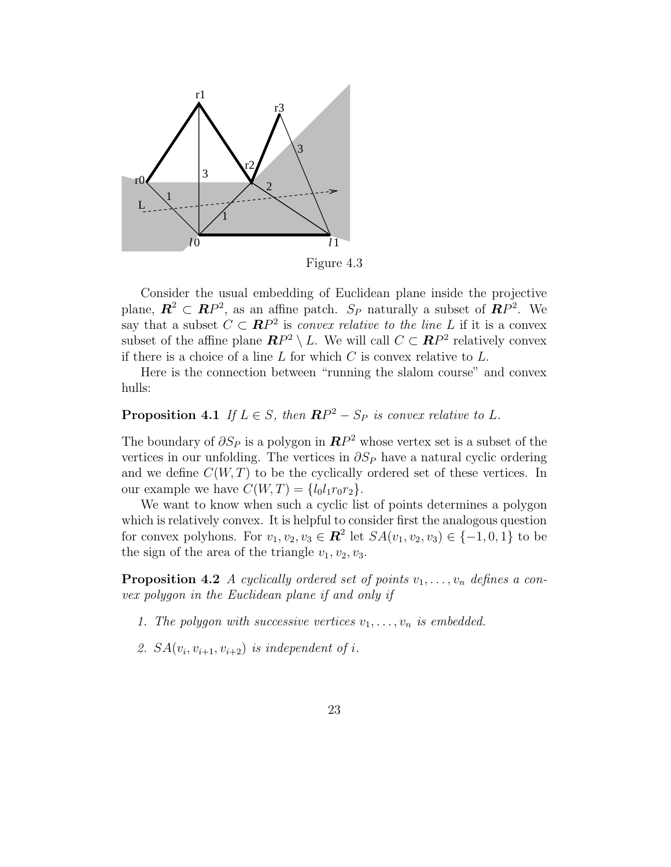

Figure 4.3

Consider the usual embedding of Euclidean plane inside the projective plane,  $\mathbf{R}^2 \subset \mathbf{R}P^2$ , as an affine patch.  $S_P$  naturally a subset of  $\mathbf{R}P^2$ . We say that a subset  $C \subset \mathbb{R}P^2$  is convex relative to the line L if it is a convex subset of the affine plane  $\mathbb{R}P^2 \setminus L$ . We will call  $C \subset \mathbb{R}P^2$  relatively convex if there is a choice of a line  $L$  for which  $C$  is convex relative to  $L$ .

Here is the connection between "running the slalom course" and convex hulls:

## **Proposition 4.1** If  $L \in S$ , then  $\mathbb{RP}^2 - S_P$  is convex relative to L.

The boundary of  $\partial S_P$  is a polygon in  $\mathbb{RP}^2$  whose vertex set is a subset of the vertices in our unfolding. The vertices in  $\partial S_P$  have a natural cyclic ordering and we define  $C(W, T)$  to be the cyclically ordered set of these vertices. In our example we have  $C(W,T) = \{l_0l_1r_0r_2\}.$ 

We want to know when such a cyclic list of points determines a polygon which is relatively convex. It is helpful to consider first the analogous question for convex polyhons. For  $v_1, v_2, v_3 \in \mathbb{R}^2$  let  $SA(v_1, v_2, v_3) \in \{-1, 0, 1\}$  to be the sign of the area of the triangle  $v_1, v_2, v_3$ .

**Proposition 4.2** A cyclically ordered set of points  $v_1, \ldots, v_n$  defines a convex polygon in the Euclidean plane if and only if

- 1. The polygon with successive vertices  $v_1, \ldots, v_n$  is embedded.
- 2.  $SA(v_i, v_{i+1}, v_{i+2})$  is independent of i.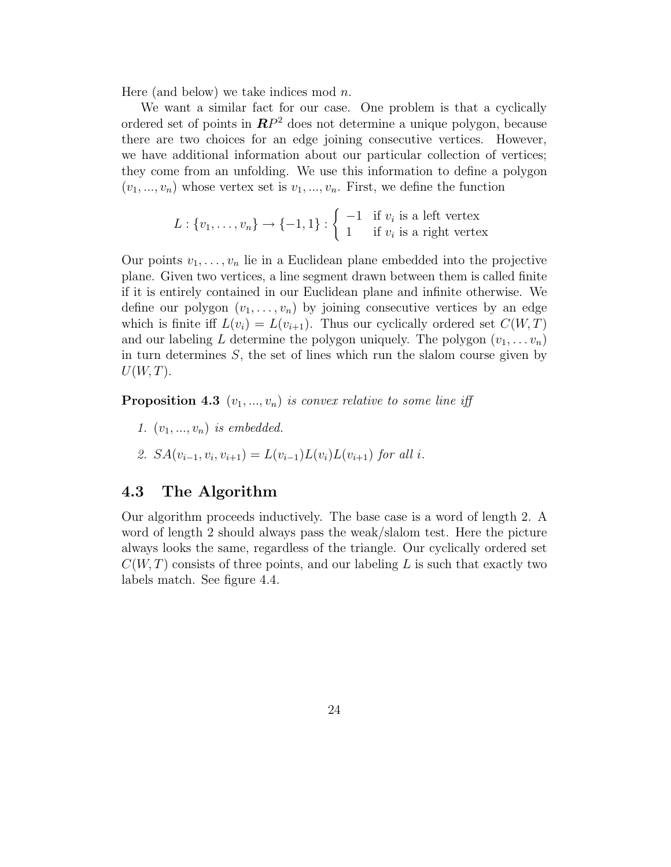Here (and below) we take indices mod  $n$ .

We want a similar fact for our case. One problem is that a cyclically ordered set of points in  $\mathbb{R}P^2$  does not determine a unique polygon, because there are two choices for an edge joining consecutive vertices. However, we have additional information about our particular collection of vertices; they come from an unfolding. We use this information to define a polygon  $(v_1, ..., v_n)$  whose vertex set is  $v_1, ..., v_n$ . First, we define the function

$$
L: \{v_1, \ldots, v_n\} \to \{-1, 1\} : \left\{ \begin{array}{ll} -1 & \text{if } v_i \text{ is a left vertex} \\ 1 & \text{if } v_i \text{ is a right vertex} \end{array} \right.
$$

Our points  $v_1, \ldots, v_n$  lie in a Euclidean plane embedded into the projective plane. Given two vertices, a line segment drawn between them is called finite if it is entirely contained in our Euclidean plane and infinite otherwise. We define our polygon  $(v_1, \ldots, v_n)$  by joining consecutive vertices by an edge which is finite iff  $L(v_i) = L(v_{i+1})$ . Thus our cyclically ordered set  $C(W,T)$ and our labeling L determine the polygon uniquely. The polygon  $(v_1, \ldots v_n)$ in turn determines  $S$ , the set of lines which run the slalom course given by  $U(W, T)$ .

**Proposition 4.3**  $(v_1, ..., v_n)$  is convex relative to some line iff

- 1.  $(v_1, ..., v_n)$  is embedded.
- 2.  $SA(v_{i-1}, v_i, v_{i+1}) = L(v_{i-1})L(v_i)L(v_{i+1})$  for all i.

#### 4.3 The Algorithm

Our algorithm proceeds inductively. The base case is a word of length 2. A word of length 2 should always pass the weak/slalom test. Here the picture always looks the same, regardless of the triangle. Our cyclically ordered set  $C(W, T)$  consists of three points, and our labeling L is such that exactly two labels match. See figure 4.4.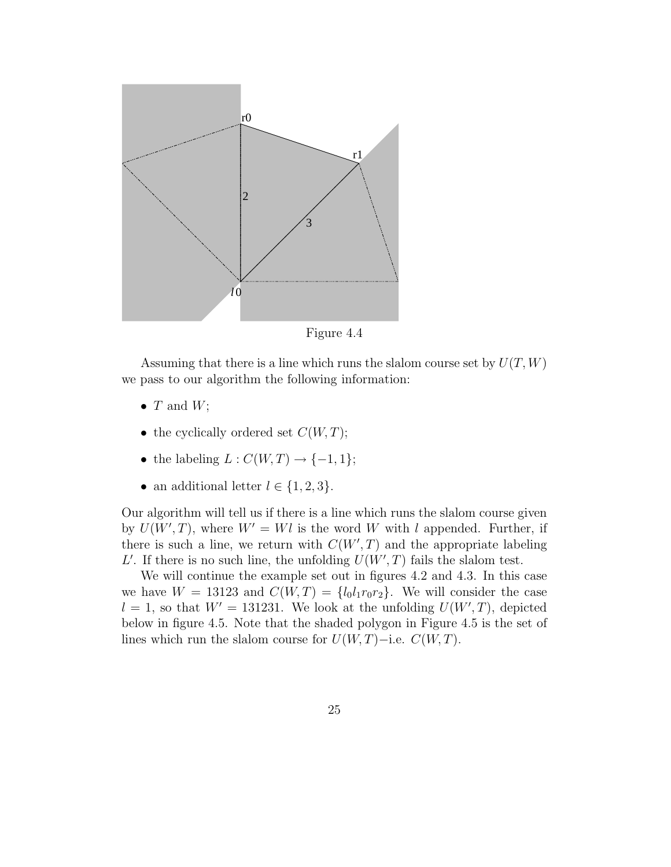

Figure 4.4

Assuming that there is a line which runs the slalom course set by  $U(T, W)$ we pass to our algorithm the following information:

- $T$  and  $W$ ;
- the cyclically ordered set  $C(W, T)$ ;
- the labeling  $L: C(W,T) \to \{-1,1\};$
- an additional letter  $l \in \{1, 2, 3\}.$

Our algorithm will tell us if there is a line which runs the slalom course given by  $U(W',T)$ , where  $W' = Wl$  is the word W with l appended. Further, if there is such a line, we return with  $C(W', T)$  and the appropriate labeling L'. If there is no such line, the unfolding  $U(W',T)$  fails the slalom test.

We will continue the example set out in figures 4.2 and 4.3. In this case we have  $W = 13123$  and  $C(W, T) = \{l_0l_1r_0r_2\}$ . We will consider the case  $l = 1$ , so that  $W' = 131231$ . We look at the unfolding  $U(W', T)$ , depicted below in figure 4.5. Note that the shaded polygon in Figure 4.5 is the set of lines which run the slalom course for  $U(W, T)$ −i.e.  $C(W, T)$ .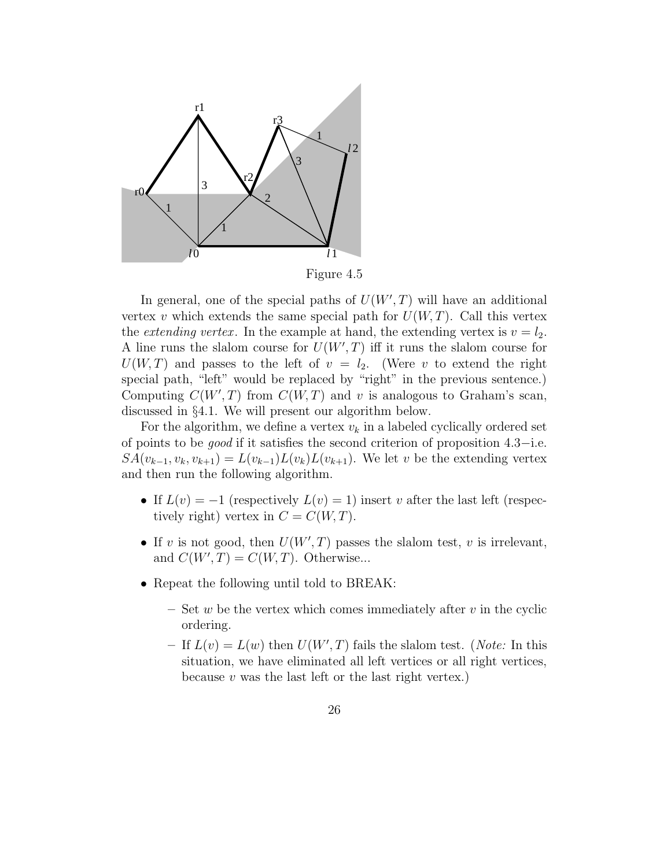

In general, one of the special paths of  $U(W',T)$  will have an additional vertex v which extends the same special path for  $U(W, T)$ . Call this vertex the *extending vertex*. In the example at hand, the extending vertex is  $v = l_2$ . A line runs the slalom course for  $U(W', T)$  iff it runs the slalom course for  $U(W, T)$  and passes to the left of  $v = l_2$ . (Were v to extend the right special path, "left" would be replaced by "right" in the previous sentence.) Computing  $C(W', T)$  from  $C(W, T)$  and v is analogous to Graham's scan, discussed in §4.1. We will present our algorithm below.

For the algorithm, we define a vertex  $v_k$  in a labeled cyclically ordered set of points to be good if it satisfies the second criterion of proposition 4.3−i.e.  $SA(v_{k-1}, v_k, v_{k+1}) = L(v_{k-1})L(v_k)L(v_{k+1})$ . We let v be the extending vertex and then run the following algorithm.

- If  $L(v) = -1$  (respectively  $L(v) = 1$ ) insert v after the last left (respectively right) vertex in  $C = C(W, T)$ .
- If v is not good, then  $U(W',T)$  passes the slalom test, v is irrelevant, and  $C(W', T) = C(W, T)$ . Otherwise...
- Repeat the following until told to BREAK:
	- Set w be the vertex which comes immediately after  $v$  in the cyclic ordering.
	- If  $L(v) = L(w)$  then  $U(W', T)$  fails the slalom test. (Note: In this situation, we have eliminated all left vertices or all right vertices, because  $v$  was the last left or the last right vertex.)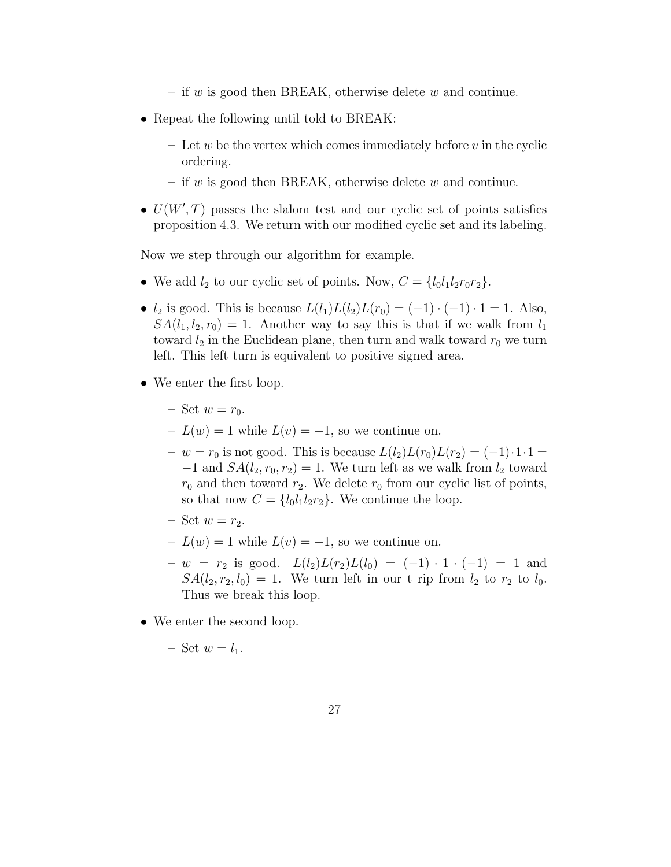- if w is good then BREAK, otherwise delete w and continue.
- Repeat the following until told to BREAK:
	- Let w be the vertex which comes immediately before v in the cyclic ordering.
	- if w is good then BREAK, otherwise delete w and continue.
- $U(W',T)$  passes the slalom test and our cyclic set of points satisfies proposition 4.3. We return with our modified cyclic set and its labeling.

Now we step through our algorithm for example.

- We add  $l_2$  to our cyclic set of points. Now,  $C = \{l_0l_1l_2r_0r_2\}$ .
- $l_2$  is good. This is because  $L(l_1)L(l_2)L(r_0) = (-1) \cdot (-1) \cdot 1 = 1$ . Also,  $SA(l_1, l_2, r_0) = 1$ . Another way to say this is that if we walk from  $l_1$ toward  $l_2$  in the Euclidean plane, then turn and walk toward  $r_0$  we turn left. This left turn is equivalent to positive signed area.
- We enter the first loop.
	- Set  $w = r_0$ .
	- $L(w) = 1$  while  $L(v) = -1$ , so we continue on.
	- $-v = r_0$  is not good. This is because  $L(l_2)L(r_0)L(r_2) = (-1)\cdot 1\cdot 1 =$  $-1$  and  $SA(l_2, r_0, r_2) = 1$ . We turn left as we walk from  $l_2$  toward  $r_0$  and then toward  $r_2$ . We delete  $r_0$  from our cyclic list of points, so that now  $C = \{l_0l_1l_2r_2\}$ . We continue the loop.
	- Set  $w = r_2$ .
	- $-L(w) = 1$  while  $L(v) = -1$ , so we continue on.
	- $w = r_2$  is good.  $L(l_2)L(r_2)L(l_0) = (-1) \cdot 1 \cdot (-1) = 1$  and  $SA(l_2, r_2, l_0) = 1$ . We turn left in our t rip from  $l_2$  to  $r_2$  to  $l_0$ . Thus we break this loop.
- We enter the second loop.

– Set  $w = l_1$ .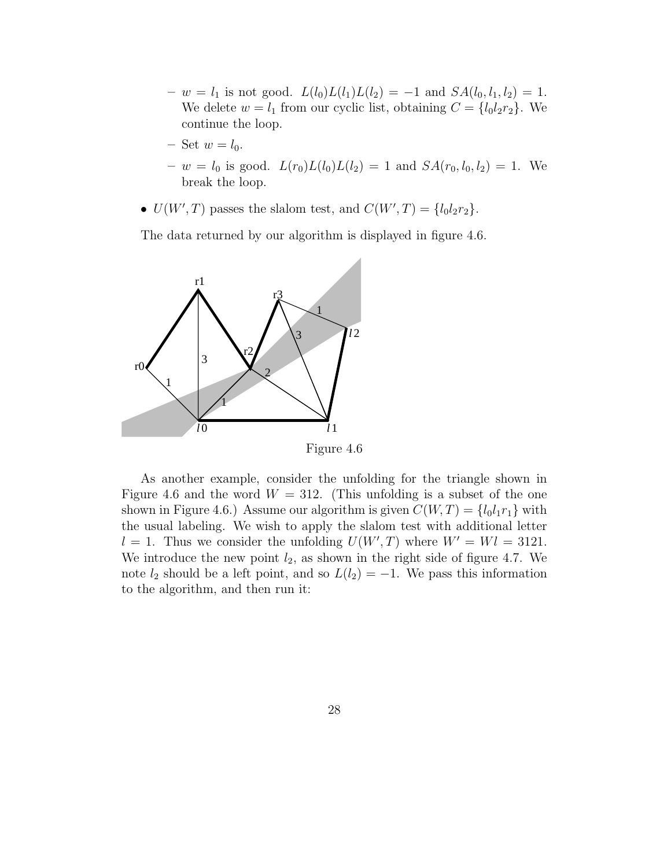- $w = l_1$  is not good.  $L(l_0)L(l_1)L(l_2) = -1$  and  $SA(l_0, l_1, l_2) = 1$ . We delete  $w = l_1$  from our cyclic list, obtaining  $C = \{l_0l_2r_2\}$ . We continue the loop.
- Set  $w = l_0$ .
- $w = l_0$  is good.  $L(r_0)L(l_0)L(l_2) = 1$  and  $SA(r_0, l_0, l_2) = 1$ . We break the loop.
- $U(W', T)$  passes the slalom test, and  $C(W', T) = \{l_0 l_2 r_2\}.$

The data returned by our algorithm is displayed in figure 4.6.



Figure 4.6

As another example, consider the unfolding for the triangle shown in Figure 4.6 and the word  $W = 312$ . (This unfolding is a subset of the one shown in Figure 4.6.) Assume our algorithm is given  $C(W,T) = \{l_0l_1r_1\}$  with the usual labeling. We wish to apply the slalom test with additional letter  $l = 1$ . Thus we consider the unfolding  $U(W', T)$  where  $W' = Wl = 3121$ . We introduce the new point  $l_2$ , as shown in the right side of figure 4.7. We note  $l_2$  should be a left point, and so  $L(l_2) = -1$ . We pass this information to the algorithm, and then run it: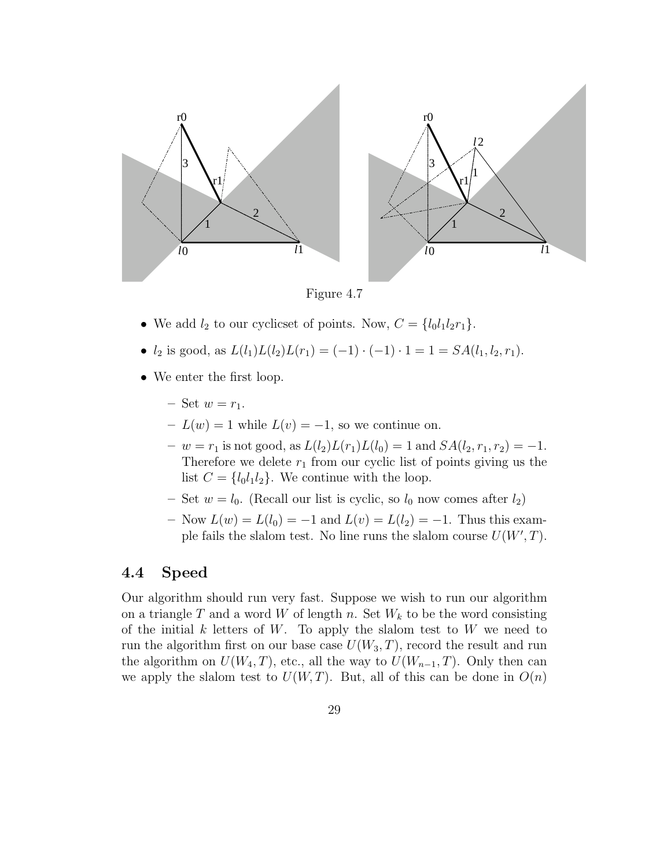

Figure 4.7

- We add  $l_2$  to our cyclicset of points. Now,  $C = \{l_0l_1l_2r_1\}.$
- $l_2$  is good, as  $L(l_1)L(l_2)L(r_1) = (-1) \cdot (-1) \cdot 1 = 1 = SA(l_1, l_2, r_1).$
- We enter the first loop.
	- Set  $w = r_1$ .
	- $L(w) = 1$  while  $L(v) = -1$ , so we continue on.
	- $w = r_1$  is not good, as  $L(l_2)L(r_1)L(l_0) = 1$  and  $SA(l_2, r_1, r_2) = -1$ . Therefore we delete  $r_1$  from our cyclic list of points giving us the list  $C = \{l_0l_1l_2\}$ . We continue with the loop.
	- Set  $w = l_0$ . (Recall our list is cyclic, so  $l_0$  now comes after  $l_2$ )
	- Now  $L(w) = L(l_0) = -1$  and  $L(v) = L(l_2) = -1$ . Thus this example fails the slalom test. No line runs the slalom course  $U(W', T)$ .

#### 4.4 Speed

Our algorithm should run very fast. Suppose we wish to run our algorithm on a triangle T and a word W of length n. Set  $W_k$  to be the word consisting of the initial  $k$  letters of  $W$ . To apply the slalom test to  $W$  we need to run the algorithm first on our base case  $U(W_3, T)$ , record the result and run the algorithm on  $U(W_4, T)$ , etc., all the way to  $U(W_{n-1}, T)$ . Only then can we apply the slalom test to  $U(W,T)$ . But, all of this can be done in  $O(n)$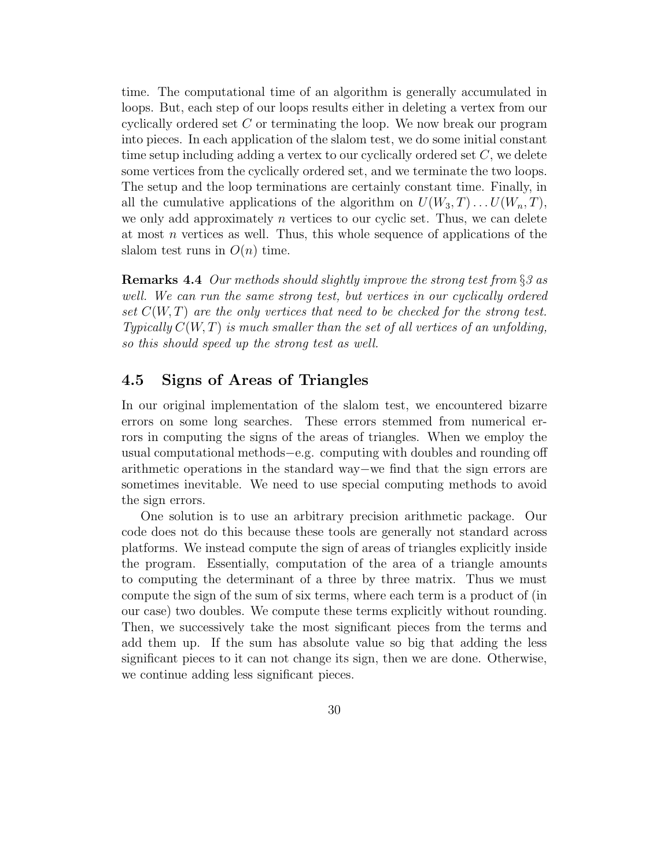time. The computational time of an algorithm is generally accumulated in loops. But, each step of our loops results either in deleting a vertex from our cyclically ordered set C or terminating the loop. We now break our program into pieces. In each application of the slalom test, we do some initial constant time setup including adding a vertex to our cyclically ordered set  $C$ , we delete some vertices from the cyclically ordered set, and we terminate the two loops. The setup and the loop terminations are certainly constant time. Finally, in all the cumulative applications of the algorithm on  $U(W_3, T) \dots U(W_n, T)$ , we only add approximately  $n$  vertices to our cyclic set. Thus, we can delete at most n vertices as well. Thus, this whole sequence of applications of the slalom test runs in  $O(n)$  time.

**Remarks 4.4** Our methods should slightly improve the strong test from  $\S$ 3 as well. We can run the same strong test, but vertices in our cyclically ordered set  $C(W,T)$  are the only vertices that need to be checked for the strong test. Typically  $C(W,T)$  is much smaller than the set of all vertices of an unfolding, so this should speed up the strong test as well.

### 4.5 Signs of Areas of Triangles

In our original implementation of the slalom test, we encountered bizarre errors on some long searches. These errors stemmed from numerical errors in computing the signs of the areas of triangles. When we employ the usual computational methods−e.g. computing with doubles and rounding off arithmetic operations in the standard way−we find that the sign errors are sometimes inevitable. We need to use special computing methods to avoid the sign errors.

One solution is to use an arbitrary precision arithmetic package. Our code does not do this because these tools are generally not standard across platforms. We instead compute the sign of areas of triangles explicitly inside the program. Essentially, computation of the area of a triangle amounts to computing the determinant of a three by three matrix. Thus we must compute the sign of the sum of six terms, where each term is a product of (in our case) two doubles. We compute these terms explicitly without rounding. Then, we successively take the most significant pieces from the terms and add them up. If the sum has absolute value so big that adding the less significant pieces to it can not change its sign, then we are done. Otherwise, we continue adding less significant pieces.